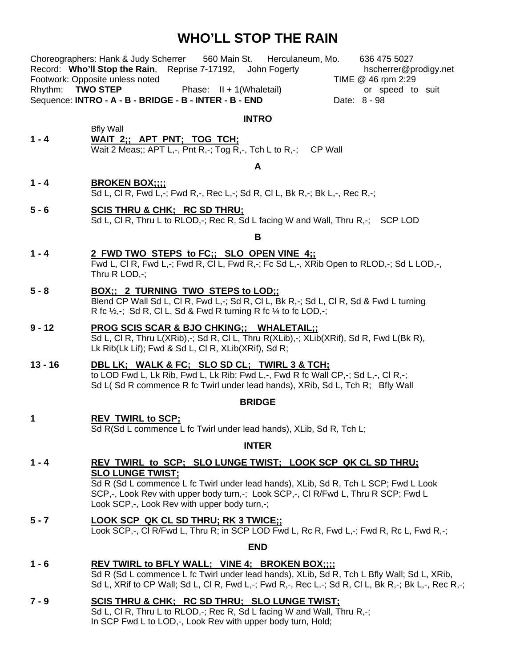## **WHO'LL STOP THE RAIN**

| Rhythm: TWO STEP | Choreographers: Hank & Judy Scherrer 560 Main St. Herculaneum, Mo.<br>636 475 5027<br>Record: Who'll Stop the Rain, Reprise 7-17192, John Fogerty<br>hscherrer@prodigy.net<br>Footwork: Opposite unless noted<br>TIME @ 46 rpm 2:29<br>Phase: $II + 1$ (Whaletail)<br>or speed to suit<br>Sequence: INTRO - A - B - BRIDGE - B - INTER - B - END<br>Date: 8 - 98 |
|------------------|------------------------------------------------------------------------------------------------------------------------------------------------------------------------------------------------------------------------------------------------------------------------------------------------------------------------------------------------------------------|
|                  |                                                                                                                                                                                                                                                                                                                                                                  |
| $1 - 4$          | <b>INTRO</b><br><b>Bfly Wall</b><br>WAIT 2;; APT PNT; TOG TCH;<br>Wait 2 Meas;; APT L,-, Pnt R,-; Tog R,-, Tch L to R,-; CP Wall                                                                                                                                                                                                                                 |
| A                |                                                                                                                                                                                                                                                                                                                                                                  |
| $1 - 4$          | <b>BROKEN BOX::::</b><br>Sd L, Cl R, Fwd L,-; Fwd R,-, Rec L,-; Sd R, Cl L, Bk R,-; Bk L,-, Rec R,-;                                                                                                                                                                                                                                                             |
| $5 - 6$          | SCIS THRU & CHK; RC SD THRU;<br>Sd L, Cl R, Thru L to RLOD,-; Rec R, Sd L facing W and Wall, Thru R,-; SCP LOD                                                                                                                                                                                                                                                   |
|                  | B                                                                                                                                                                                                                                                                                                                                                                |
| $1 - 4$          | 2 FWD TWO STEPS to FC:; SLO OPEN VINE 4::<br>Fwd L, CI R, Fwd L,-; Fwd R, CI L, Fwd R,-; Fc Sd L,-, XRib Open to RLOD,-; Sd L LOD,-,<br>Thru $R$ LOD,-;                                                                                                                                                                                                          |
| $5 - 8$          | <b>BOX:: 2 TURNING TWO STEPS to LOD::</b><br>Blend CP Wall Sd L, Cl R, Fwd L,-; Sd R, Cl L, Bk R,-; Sd L, Cl R, Sd & Fwd L turning<br>R fc $\frac{1}{2}$ , Sd R, Cl L, Sd & Fwd R turning R fc $\frac{1}{4}$ to fc LOD,-;                                                                                                                                        |
| $9 - 12$         | PROG SCIS SCAR & BJO CHKING;; WHALETAIL;;<br>Sd L, Cl R, Thru L(XRib),-; Sd R, Cl L, Thru R(XLib),-; XLib(XRif), Sd R, Fwd L(Bk R),<br>Lk Rib(Lk Lif); Fwd & Sd L, Cl R, XLib(XRif), Sd R;                                                                                                                                                                       |
| $13 - 16$        | DBL LK; WALK & FC; SLO SD CL; TWIRL 3 & TCH;<br>to LOD Fwd L, Lk Rib, Fwd L, Lk Rib; Fwd L,-, Fwd R fc Wall CP,-; Sd L,-, Cl R,-;<br>Sd L(Sd R commence R fc Twirl under lead hands), XRib, Sd L, Tch R; Bfly Wall                                                                                                                                               |
| <b>BRIDGE</b>    |                                                                                                                                                                                                                                                                                                                                                                  |
| 1                | <b>REV TWIRL to SCP;</b><br>Sd R(Sd L commence L fc Twirl under lead hands), XLib, Sd R, Tch L;                                                                                                                                                                                                                                                                  |
|                  | <b>INTER</b>                                                                                                                                                                                                                                                                                                                                                     |
| 1 - 4            | REV TWIRL to SCP: SLO LUNGE TWIST: LOOK SCP QK CL SD THRU:                                                                                                                                                                                                                                                                                                       |
|                  | <b>SLO LUNGE TWIST;</b><br>Sd R (Sd L commence L fc Twirl under lead hands), XLib, Sd R, Tch L SCP; Fwd L Look<br>SCP,-, Look Rev with upper body turn,-; Look SCP,-, CI R/Fwd L, Thru R SCP; Fwd L<br>Look SCP,-, Look Rev with upper body turn,-;                                                                                                              |
| $5 - 7$          | <u>LOOK SCP QK CL SD THRU; RK 3 TWICE;;</u><br>Look SCP,-, CI R/Fwd L, Thru R; in SCP LOD Fwd L, Rc R, Fwd L,-; Fwd R, Rc L, Fwd R,-;                                                                                                                                                                                                                            |
| <b>END</b>       |                                                                                                                                                                                                                                                                                                                                                                  |
| $1 - 6$          | REV TWIRL to BFLY WALL; VINE 4; BROKEN BOX;;;;<br>Sd R (Sd L commence L fc Twirl under lead hands), XLib, Sd R, Tch L Bfly Wall; Sd L, XRib,<br>Sd L, XRif to CP Wall; Sd L, Cl R, Fwd L,-; Fwd R,-, Rec L,-; Sd R, Cl L, Bk R,-; Bk L,-, Rec R,-;                                                                                                               |
| $7 - 9$          | SCIS THRU & CHK; RC SD THRU; SLO LUNGE TWIST;<br>Sd L, Cl R, Thru L to RLOD,-; Rec R, Sd L facing W and Wall, Thru R,-;<br>In SCP Fwd L to LOD,-, Look Rev with upper body turn, Hold;                                                                                                                                                                           |